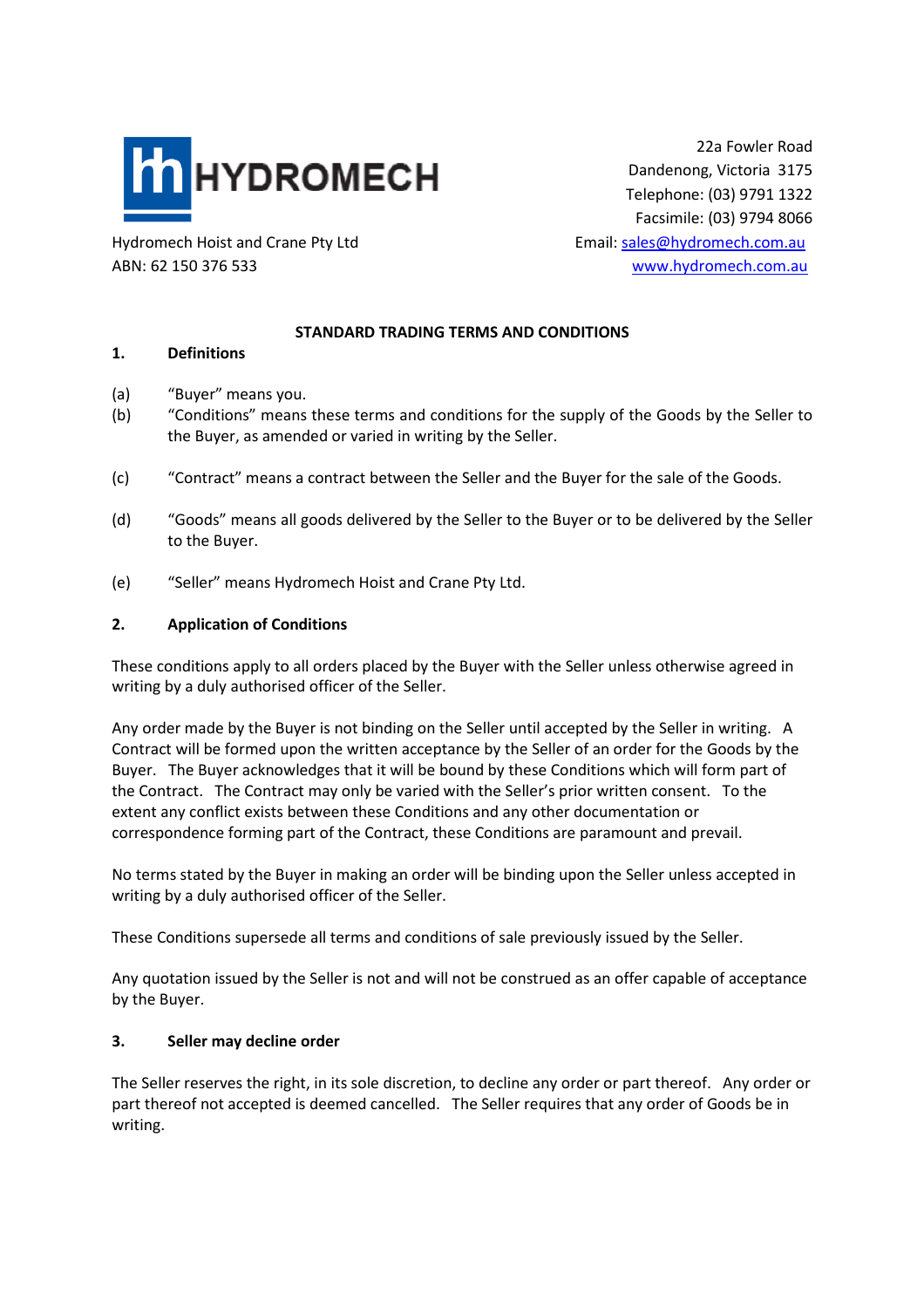

22a Fowler Road Dandenong, Victoria 3175 Telephone: (03) 9791 1322 Facsimile: (03) 9794 8066

Hydromech Hoist and Crane Pty Ltd Email: sales@hydromech.com.au ABN: 62 150 376 533 www.hydromech.com.au

# **STANDARD TRADING TERMS AND CONDITIONS**

### **1. Definitions**

- (a) "Buyer" means you.
- (b) "Conditions" means these terms and conditions for the supply of the Goods by the Seller to the Buyer, as amended or varied in writing by the Seller.
- (c) "Contract" means a contract between the Seller and the Buyer for the sale of the Goods.
- (d) "Goods" means all goods delivered by the Seller to the Buyer or to be delivered by the Seller to the Buyer.
- (e) "Seller" means Hydromech Hoist and Crane Pty Ltd.

#### **2. Application of Conditions**

These conditions apply to all orders placed by the Buyer with the Seller unless otherwise agreed in writing by a duly authorised officer of the Seller.

Any order made by the Buyer is not binding on the Seller until accepted by the Seller in writing. A Contract will be formed upon the written acceptance by the Seller of an order for the Goods by the Buyer. The Buyer acknowledges that it will be bound by these Conditions which will form part of the Contract. The Contract may only be varied with the Seller's prior written consent. To the extent any conflict exists between these Conditions and any other documentation or correspondence forming part of the Contract, these Conditions are paramount and prevail.

No terms stated by the Buyer in making an order will be binding upon the Seller unless accepted in writing by a duly authorised officer of the Seller.

These Conditions supersede all terms and conditions of sale previously issued by the Seller.

Any quotation issued by the Seller is not and will not be construed as an offer capable of acceptance by the Buyer.

### **3. Seller may decline order**

The Seller reserves the right, in its sole discretion, to decline any order or part thereof. Any order or part thereof not accepted is deemed cancelled. The Seller requires that any order of Goods be in writing.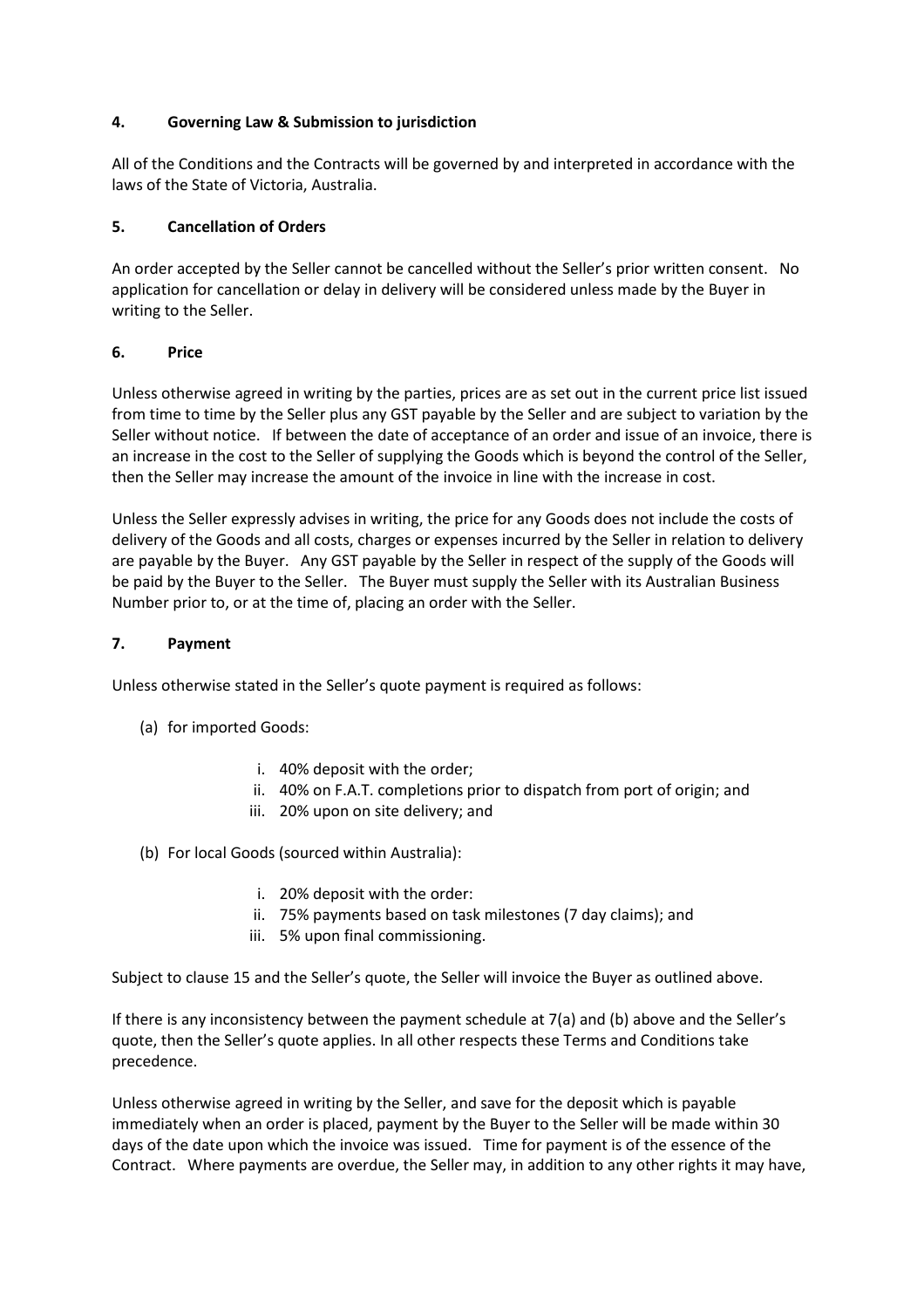## **4. Governing Law & Submission to jurisdiction**

All of the Conditions and the Contracts will be governed by and interpreted in accordance with the laws of the State of Victoria, Australia.

## **5. Cancellation of Orders**

An order accepted by the Seller cannot be cancelled without the Seller's prior written consent. No application for cancellation or delay in delivery will be considered unless made by the Buyer in writing to the Seller.

## **6. Price**

Unless otherwise agreed in writing by the parties, prices are as set out in the current price list issued from time to time by the Seller plus any GST payable by the Seller and are subject to variation by the Seller without notice. If between the date of acceptance of an order and issue of an invoice, there is an increase in the cost to the Seller of supplying the Goods which is beyond the control of the Seller, then the Seller may increase the amount of the invoice in line with the increase in cost.

Unless the Seller expressly advises in writing, the price for any Goods does not include the costs of delivery of the Goods and all costs, charges or expenses incurred by the Seller in relation to delivery are payable by the Buyer. Any GST payable by the Seller in respect of the supply of the Goods will be paid by the Buyer to the Seller. The Buyer must supply the Seller with its Australian Business Number prior to, or at the time of, placing an order with the Seller.

## **7. Payment**

Unless otherwise stated in the Seller's quote payment is required as follows:

- (a) for imported Goods:
	- i. 40% deposit with the order;
	- ii. 40% on F.A.T. completions prior to dispatch from port of origin; and
	- iii. 20% upon on site delivery; and
- (b) For local Goods (sourced within Australia):
	- i. 20% deposit with the order:
	- ii. 75% payments based on task milestones (7 day claims); and
	- iii. 5% upon final commissioning.

Subject to clause 15 and the Seller's quote, the Seller will invoice the Buyer as outlined above.

If there is any inconsistency between the payment schedule at 7(a) and (b) above and the Seller's quote, then the Seller's quote applies. In all other respects these Terms and Conditions take precedence.

Unless otherwise agreed in writing by the Seller, and save for the deposit which is payable immediately when an order is placed, payment by the Buyer to the Seller will be made within 30 days of the date upon which the invoice was issued. Time for payment is of the essence of the Contract. Where payments are overdue, the Seller may, in addition to any other rights it may have,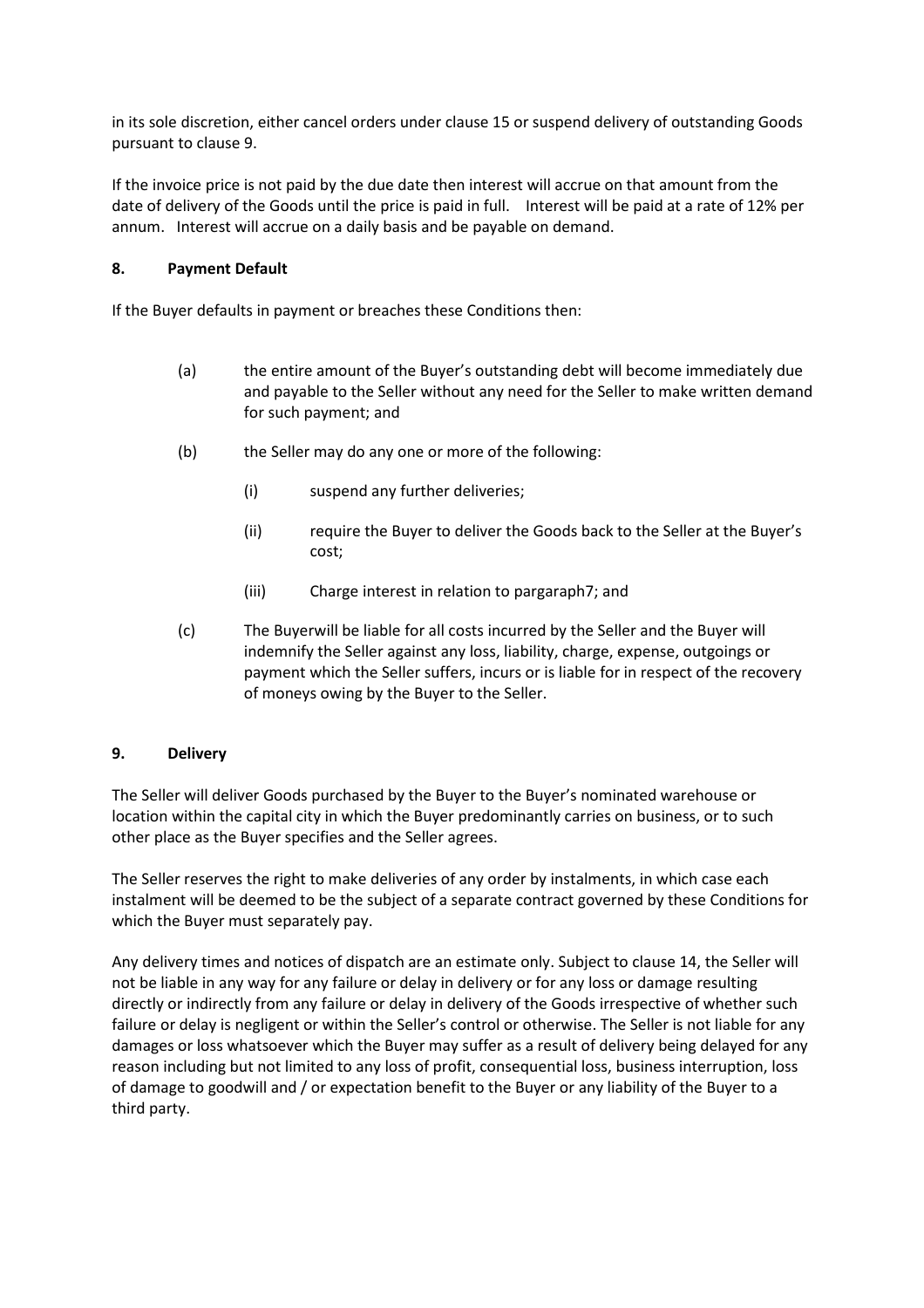in its sole discretion, either cancel orders under clause 15 or suspend delivery of outstanding Goods pursuant to clause 9.

If the invoice price is not paid by the due date then interest will accrue on that amount from the date of delivery of the Goods until the price is paid in full. Interest will be paid at a rate of 12% per annum. Interest will accrue on a daily basis and be payable on demand.

## **8. Payment Default**

If the Buyer defaults in payment or breaches these Conditions then:

- (a) the entire amount of the Buyer's outstanding debt will become immediately due and payable to the Seller without any need for the Seller to make written demand for such payment; and
- (b) the Seller may do any one or more of the following:
	- (i) suspend any further deliveries;
	- (ii) require the Buyer to deliver the Goods back to the Seller at the Buyer's cost;
	- (iii) Charge interest in relation to pargaraph7; and
- (c) The Buyerwill be liable for all costs incurred by the Seller and the Buyer will indemnify the Seller against any loss, liability, charge, expense, outgoings or payment which the Seller suffers, incurs or is liable for in respect of the recovery of moneys owing by the Buyer to the Seller.

### **9. Delivery**

The Seller will deliver Goods purchased by the Buyer to the Buyer's nominated warehouse or location within the capital city in which the Buyer predominantly carries on business, or to such other place as the Buyer specifies and the Seller agrees.

The Seller reserves the right to make deliveries of any order by instalments, in which case each instalment will be deemed to be the subject of a separate contract governed by these Conditions for which the Buyer must separately pay.

Any delivery times and notices of dispatch are an estimate only. Subject to clause 14, the Seller will not be liable in any way for any failure or delay in delivery or for any loss or damage resulting directly or indirectly from any failure or delay in delivery of the Goods irrespective of whether such failure or delay is negligent or within the Seller's control or otherwise. The Seller is not liable for any damages or loss whatsoever which the Buyer may suffer as a result of delivery being delayed for any reason including but not limited to any loss of profit, consequential loss, business interruption, loss of damage to goodwill and / or expectation benefit to the Buyer or any liability of the Buyer to a third party.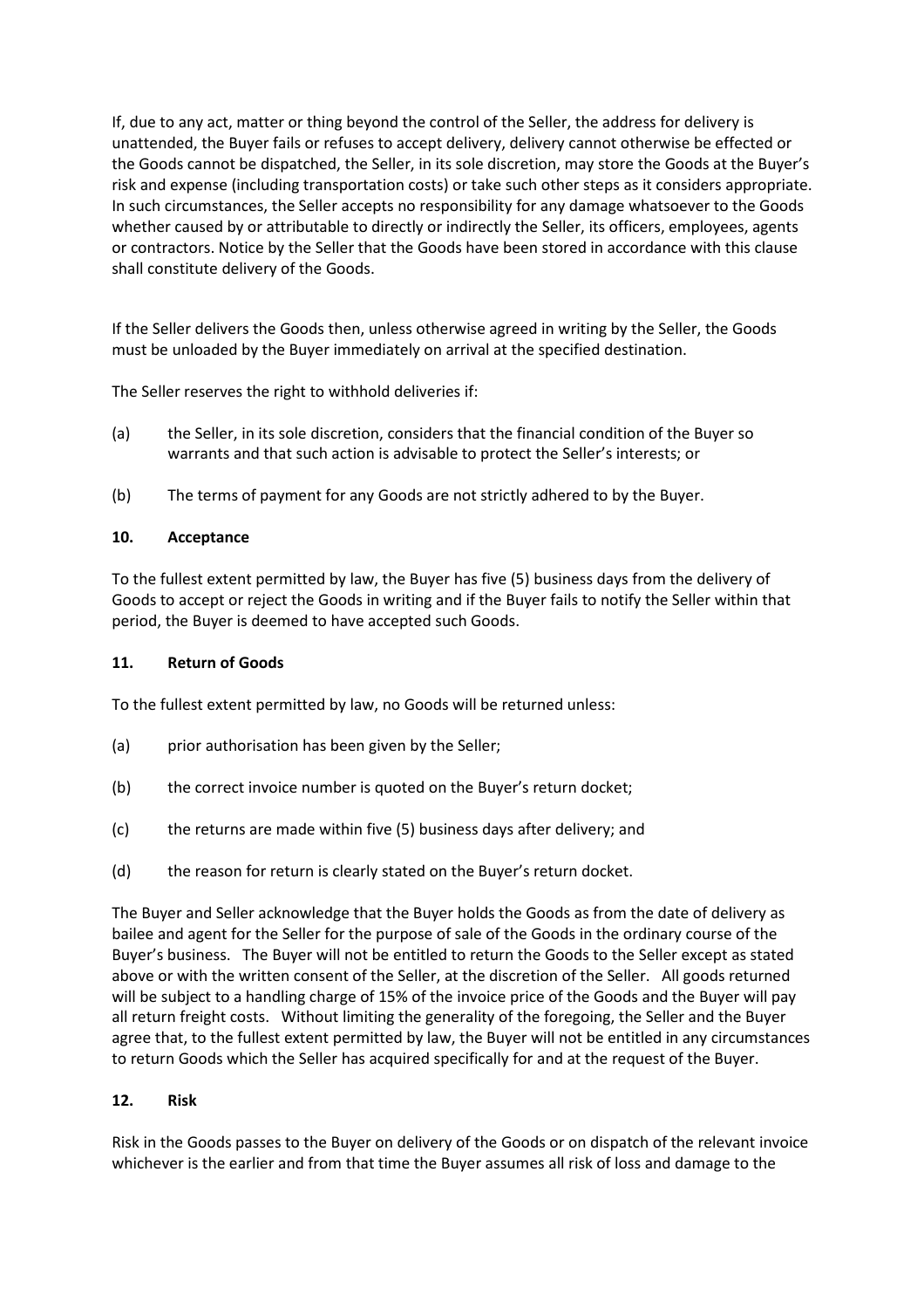If, due to any act, matter or thing beyond the control of the Seller, the address for delivery is unattended, the Buyer fails or refuses to accept delivery, delivery cannot otherwise be effected or the Goods cannot be dispatched, the Seller, in its sole discretion, may store the Goods at the Buyer's risk and expense (including transportation costs) or take such other steps as it considers appropriate. In such circumstances, the Seller accepts no responsibility for any damage whatsoever to the Goods whether caused by or attributable to directly or indirectly the Seller, its officers, employees, agents or contractors. Notice by the Seller that the Goods have been stored in accordance with this clause shall constitute delivery of the Goods.

If the Seller delivers the Goods then, unless otherwise agreed in writing by the Seller, the Goods must be unloaded by the Buyer immediately on arrival at the specified destination.

The Seller reserves the right to withhold deliveries if:

- (a) the Seller, in its sole discretion, considers that the financial condition of the Buyer so warrants and that such action is advisable to protect the Seller's interests; or
- (b) The terms of payment for any Goods are not strictly adhered to by the Buyer.

## **10. Acceptance**

To the fullest extent permitted by law, the Buyer has five (5) business days from the delivery of Goods to accept or reject the Goods in writing and if the Buyer fails to notify the Seller within that period, the Buyer is deemed to have accepted such Goods.

### **11. Return of Goods**

To the fullest extent permitted by law, no Goods will be returned unless:

- (a) prior authorisation has been given by the Seller;
- (b) the correct invoice number is quoted on the Buyer's return docket;
- (c) the returns are made within five (5) business days after delivery; and
- (d) the reason for return is clearly stated on the Buyer's return docket.

The Buyer and Seller acknowledge that the Buyer holds the Goods as from the date of delivery as bailee and agent for the Seller for the purpose of sale of the Goods in the ordinary course of the Buyer's business. The Buyer will not be entitled to return the Goods to the Seller except as stated above or with the written consent of the Seller, at the discretion of the Seller. All goods returned will be subject to a handling charge of 15% of the invoice price of the Goods and the Buyer will pay all return freight costs. Without limiting the generality of the foregoing, the Seller and the Buyer agree that, to the fullest extent permitted by law, the Buyer will not be entitled in any circumstances to return Goods which the Seller has acquired specifically for and at the request of the Buyer.

### **12. Risk**

Risk in the Goods passes to the Buyer on delivery of the Goods or on dispatch of the relevant invoice whichever is the earlier and from that time the Buyer assumes all risk of loss and damage to the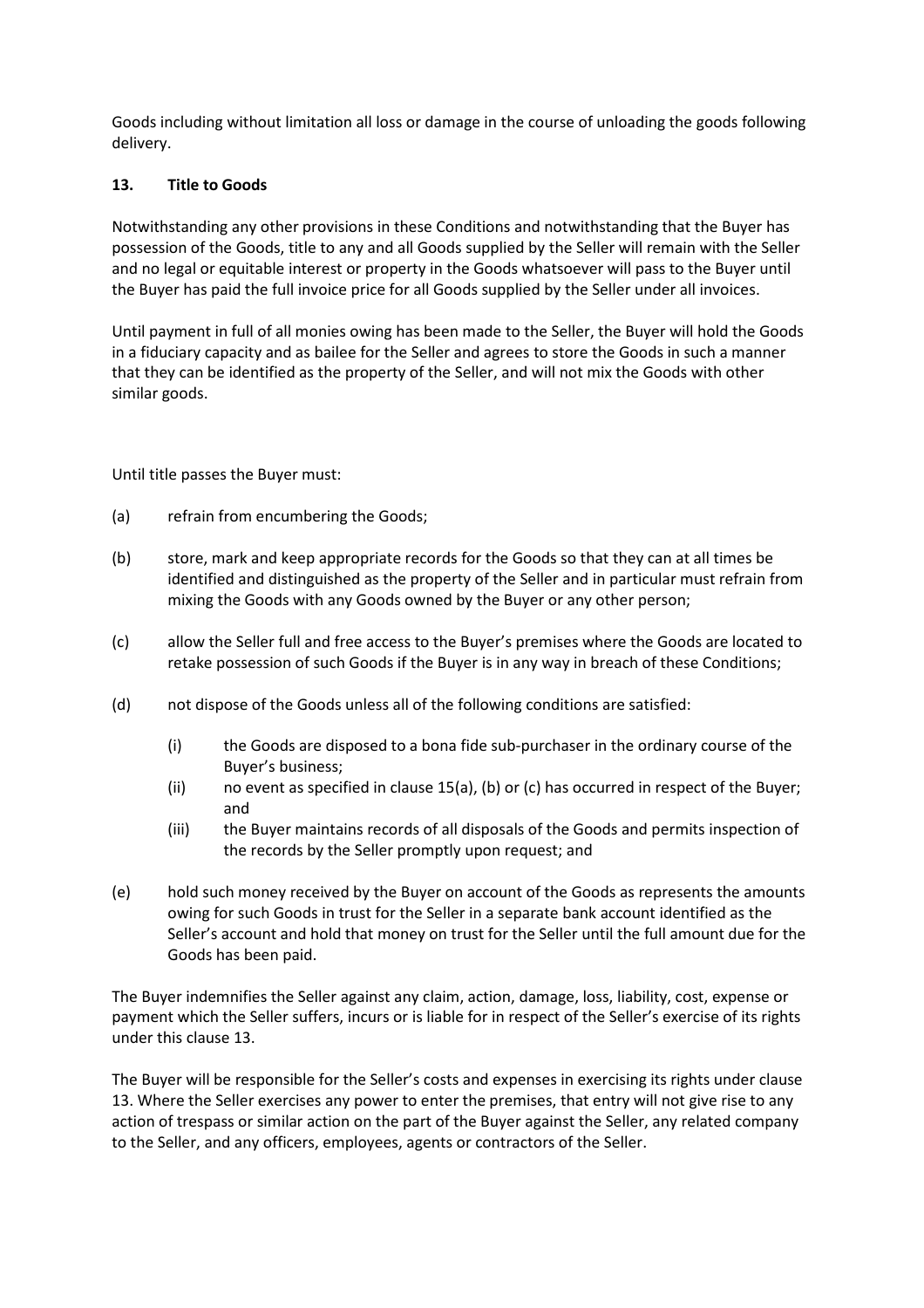Goods including without limitation all loss or damage in the course of unloading the goods following delivery.

## **13. Title to Goods**

Notwithstanding any other provisions in these Conditions and notwithstanding that the Buyer has possession of the Goods, title to any and all Goods supplied by the Seller will remain with the Seller and no legal or equitable interest or property in the Goods whatsoever will pass to the Buyer until the Buyer has paid the full invoice price for all Goods supplied by the Seller under all invoices.

Until payment in full of all monies owing has been made to the Seller, the Buyer will hold the Goods in a fiduciary capacity and as bailee for the Seller and agrees to store the Goods in such a manner that they can be identified as the property of the Seller, and will not mix the Goods with other similar goods.

Until title passes the Buyer must:

- (a) refrain from encumbering the Goods;
- (b) store, mark and keep appropriate records for the Goods so that they can at all times be identified and distinguished as the property of the Seller and in particular must refrain from mixing the Goods with any Goods owned by the Buyer or any other person;
- (c) allow the Seller full and free access to the Buyer's premises where the Goods are located to retake possession of such Goods if the Buyer is in any way in breach of these Conditions;
- (d) not dispose of the Goods unless all of the following conditions are satisfied:
	- (i) the Goods are disposed to a bona fide sub-purchaser in the ordinary course of the Buyer's business;
	- (ii) no event as specified in clause 15(a), (b) or (c) has occurred in respect of the Buyer; and
	- (iii) the Buyer maintains records of all disposals of the Goods and permits inspection of the records by the Seller promptly upon request; and
- (e) hold such money received by the Buyer on account of the Goods as represents the amounts owing for such Goods in trust for the Seller in a separate bank account identified as the Seller's account and hold that money on trust for the Seller until the full amount due for the Goods has been paid.

The Buyer indemnifies the Seller against any claim, action, damage, loss, liability, cost, expense or payment which the Seller suffers, incurs or is liable for in respect of the Seller's exercise of its rights under this clause 13.

The Buyer will be responsible for the Seller's costs and expenses in exercising its rights under clause 13. Where the Seller exercises any power to enter the premises, that entry will not give rise to any action of trespass or similar action on the part of the Buyer against the Seller, any related company to the Seller, and any officers, employees, agents or contractors of the Seller.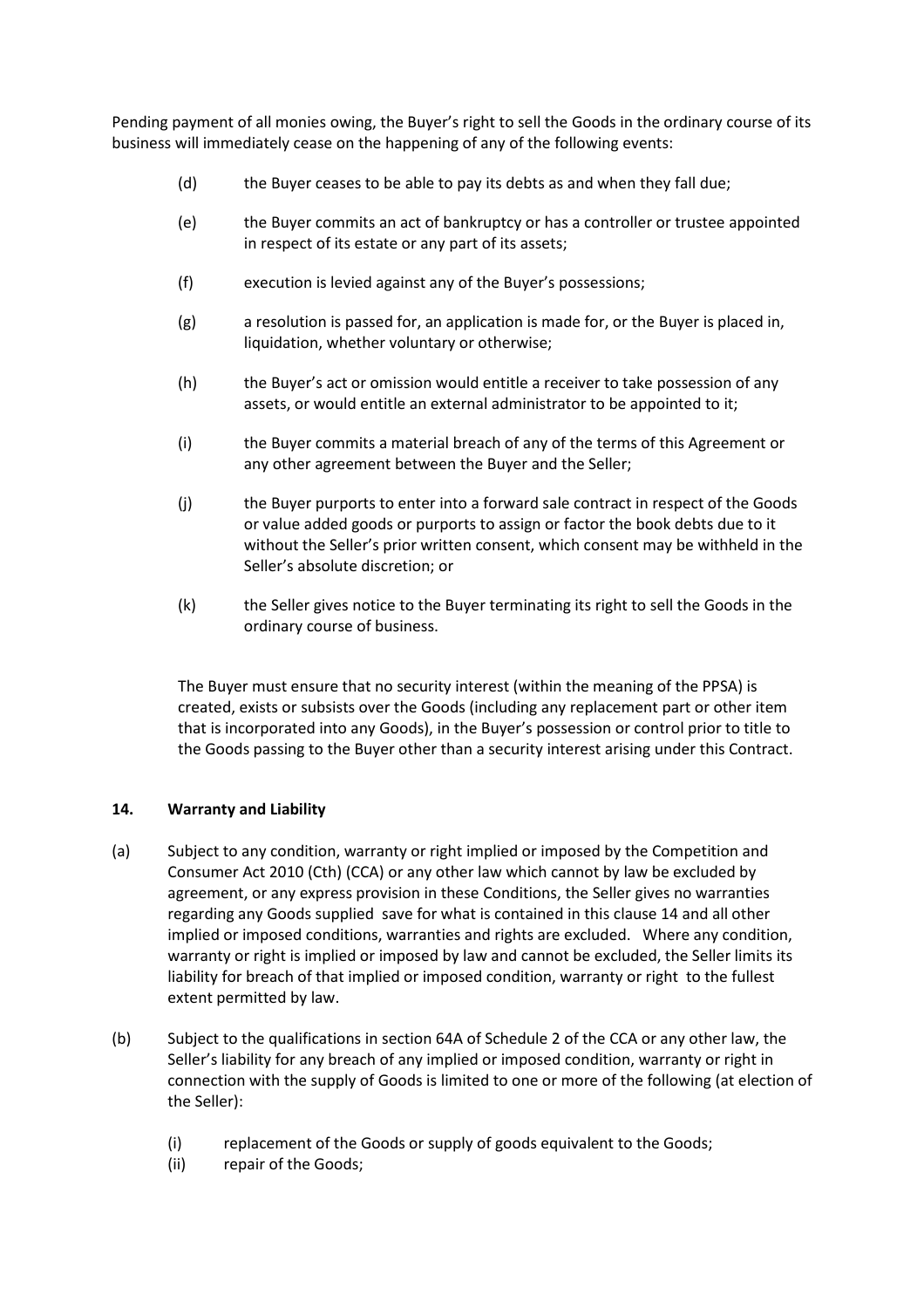Pending payment of all monies owing, the Buyer's right to sell the Goods in the ordinary course of its business will immediately cease on the happening of any of the following events:

- (d) the Buyer ceases to be able to pay its debts as and when they fall due;
- (e) the Buyer commits an act of bankruptcy or has a controller or trustee appointed in respect of its estate or any part of its assets;
- (f) execution is levied against any of the Buyer's possessions;
- (g) a resolution is passed for, an application is made for, or the Buyer is placed in, liquidation, whether voluntary or otherwise;
- (h) the Buyer's act or omission would entitle a receiver to take possession of any assets, or would entitle an external administrator to be appointed to it;
- (i) the Buyer commits a material breach of any of the terms of this Agreement or any other agreement between the Buyer and the Seller;
- (j) the Buyer purports to enter into a forward sale contract in respect of the Goods or value added goods or purports to assign or factor the book debts due to it without the Seller's prior written consent, which consent may be withheld in the Seller's absolute discretion; or
- (k) the Seller gives notice to the Buyer terminating its right to sell the Goods in the ordinary course of business.

The Buyer must ensure that no security interest (within the meaning of the PPSA) is created, exists or subsists over the Goods (including any replacement part or other item that is incorporated into any Goods), in the Buyer's possession or control prior to title to the Goods passing to the Buyer other than a security interest arising under this Contract.

### **14. Warranty and Liability**

- (a) Subject to any condition, warranty or right implied or imposed by the Competition and Consumer Act 2010 (Cth) (CCA) or any other law which cannot by law be excluded by agreement, or any express provision in these Conditions, the Seller gives no warranties regarding any Goods supplied save for what is contained in this clause 14 and all other implied or imposed conditions, warranties and rights are excluded. Where any condition, warranty or right is implied or imposed by law and cannot be excluded, the Seller limits its liability for breach of that implied or imposed condition, warranty or right to the fullest extent permitted by law.
- (b) Subject to the qualifications in section 64A of Schedule 2 of the CCA or any other law, the Seller's liability for any breach of any implied or imposed condition, warranty or right in connection with the supply of Goods is limited to one or more of the following (at election of the Seller):
	- (i) replacement of the Goods or supply of goods equivalent to the Goods;
	- (ii) repair of the Goods;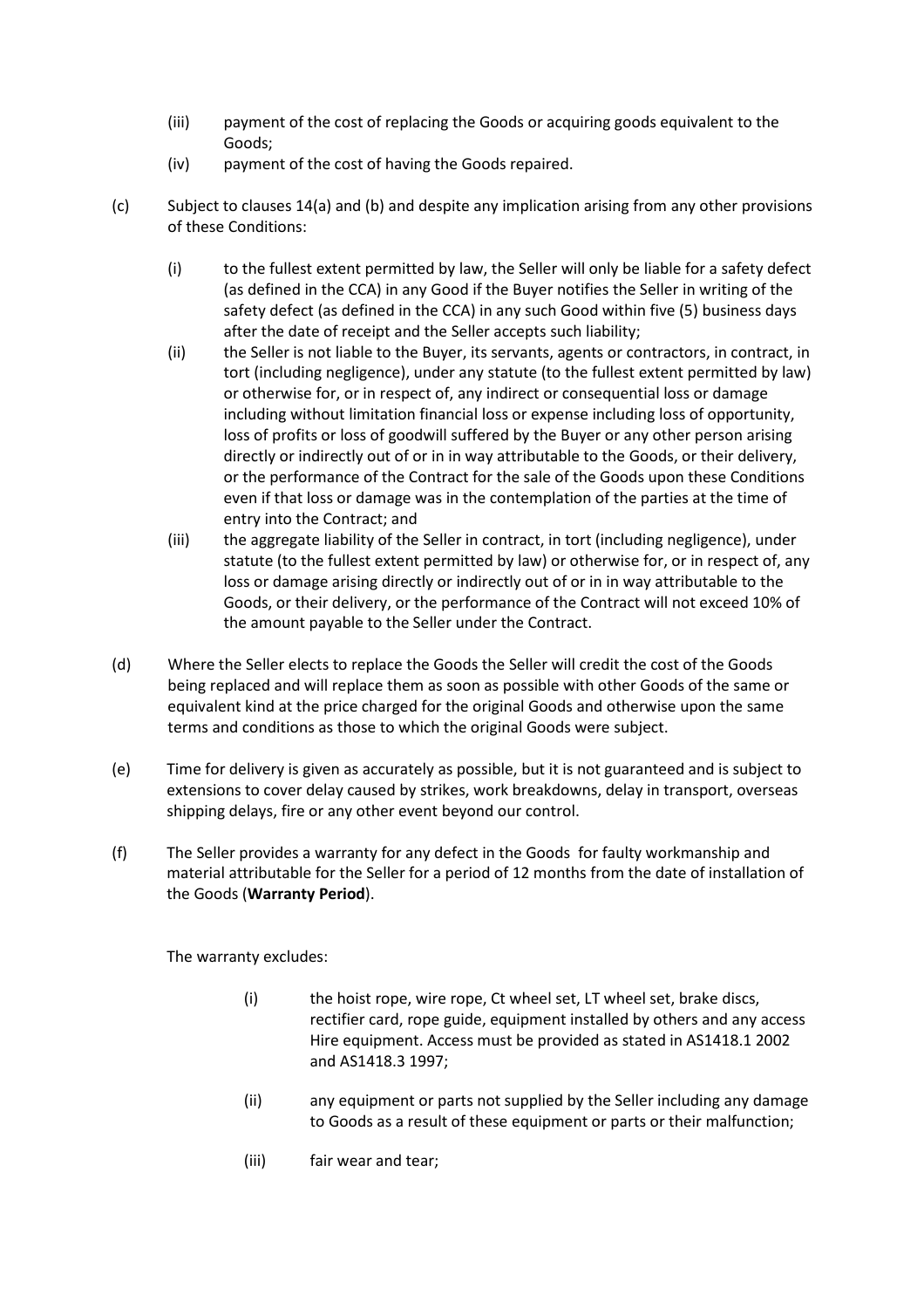- (iii) payment of the cost of replacing the Goods or acquiring goods equivalent to the Goods;
- (iv) payment of the cost of having the Goods repaired.
- (c) Subject to clauses 14(a) and (b) and despite any implication arising from any other provisions of these Conditions:
	- (i) to the fullest extent permitted by law, the Seller will only be liable for a safety defect (as defined in the CCA) in any Good if the Buyer notifies the Seller in writing of the safety defect (as defined in the CCA) in any such Good within five (5) business days after the date of receipt and the Seller accepts such liability;
	- (ii) the Seller is not liable to the Buyer, its servants, agents or contractors, in contract, in tort (including negligence), under any statute (to the fullest extent permitted by law) or otherwise for, or in respect of, any indirect or consequential loss or damage including without limitation financial loss or expense including loss of opportunity, loss of profits or loss of goodwill suffered by the Buyer or any other person arising directly or indirectly out of or in in way attributable to the Goods, or their delivery, or the performance of the Contract for the sale of the Goods upon these Conditions even if that loss or damage was in the contemplation of the parties at the time of entry into the Contract; and
	- (iii) the aggregate liability of the Seller in contract, in tort (including negligence), under statute (to the fullest extent permitted by law) or otherwise for, or in respect of, any loss or damage arising directly or indirectly out of or in in way attributable to the Goods, or their delivery, or the performance of the Contract will not exceed 10% of the amount payable to the Seller under the Contract.
- (d) Where the Seller elects to replace the Goods the Seller will credit the cost of the Goods being replaced and will replace them as soon as possible with other Goods of the same or equivalent kind at the price charged for the original Goods and otherwise upon the same terms and conditions as those to which the original Goods were subject.
- (e) Time for delivery is given as accurately as possible, but it is not guaranteed and is subject to extensions to cover delay caused by strikes, work breakdowns, delay in transport, overseas shipping delays, fire or any other event beyond our control.
- (f) The Seller provides a warranty for any defect in the Goods for faulty workmanship and material attributable for the Seller for a period of 12 months from the date of installation of the Goods (**Warranty Period**).

The warranty excludes:

- (i) the hoist rope, wire rope, Ct wheel set, LT wheel set, brake discs, rectifier card, rope guide, equipment installed by others and any access Hire equipment. Access must be provided as stated in AS1418.1 2002 and AS1418.3 1997;
- (ii) any equipment or parts not supplied by the Seller including any damage to Goods as a result of these equipment or parts or their malfunction;
- (iii) fair wear and tear;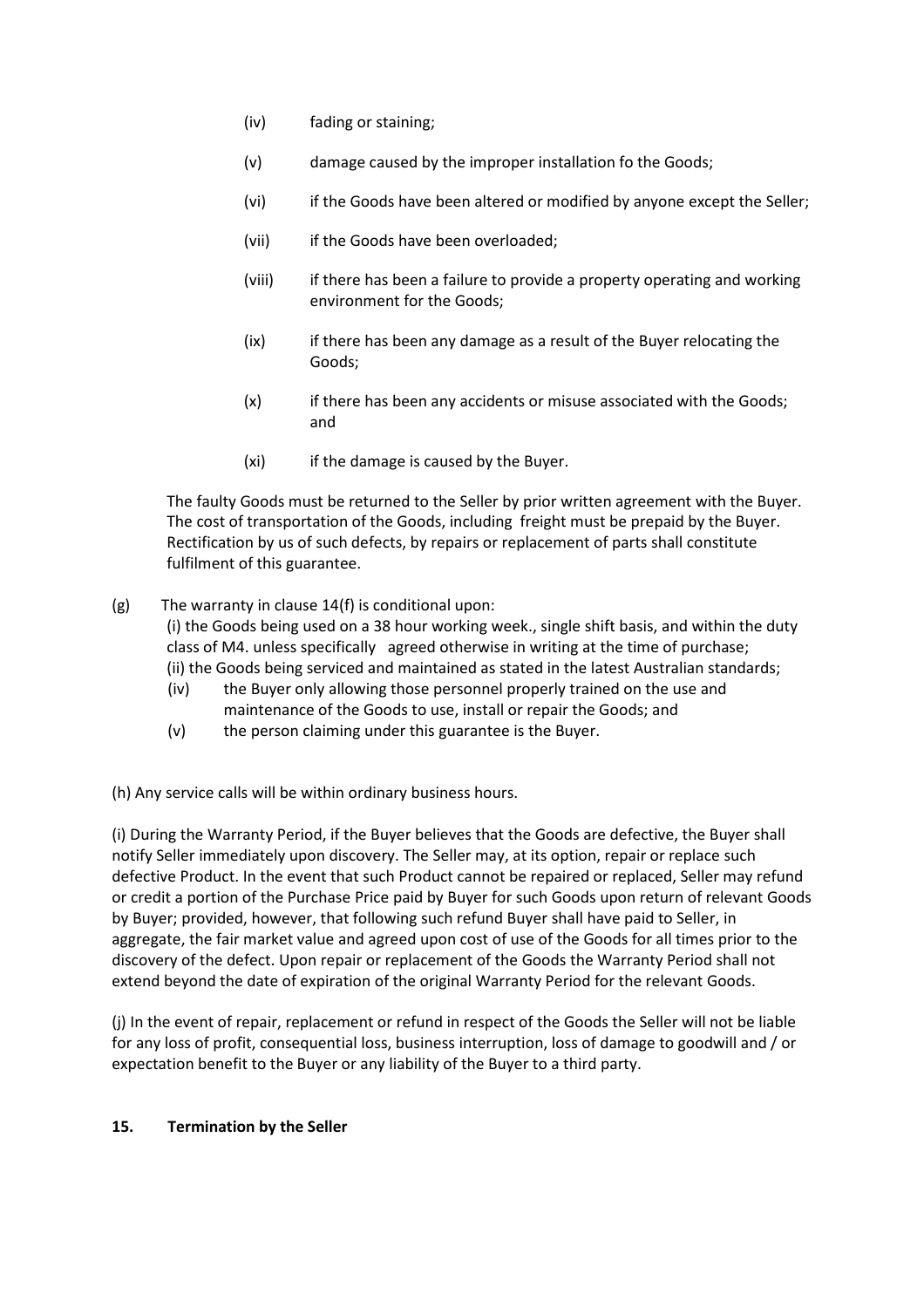- (iv) fading or staining;
- (v) damage caused by the improper installation fo the Goods;
- (vi) if the Goods have been altered or modified by anyone except the Seller;
- (vii) if the Goods have been overloaded;
- (viii) if there has been a failure to provide a property operating and working environment for the Goods;
- (ix) if there has been any damage as a result of the Buyer relocating the Goods;
- (x) if there has been any accidents or misuse associated with the Goods; and
- (xi) if the damage is caused by the Buyer.

The faulty Goods must be returned to the Seller by prior written agreement with the Buyer. The cost of transportation of the Goods, including freight must be prepaid by the Buyer. Rectification by us of such defects, by repairs or replacement of parts shall constitute fulfilment of this guarantee.

(g) The warranty in clause 14(f) is conditional upon:

(i) the Goods being used on a 38 hour working week., single shift basis, and within the duty class of M4. unless specifically agreed otherwise in writing at the time of purchase; (ii) the Goods being serviced and maintained as stated in the latest Australian standards;

- (iv) the Buyer only allowing those personnel properly trained on the use and maintenance of the Goods to use, install or repair the Goods; and
- (v) the person claiming under this guarantee is the Buyer.

(h) Any service calls will be within ordinary business hours.

(i) During the Warranty Period, if the Buyer believes that the Goods are defective, the Buyer shall notify Seller immediately upon discovery. The Seller may, at its option, repair or replace such defective Product. In the event that such Product cannot be repaired or replaced, Seller may refund or credit a portion of the Purchase Price paid by Buyer for such Goods upon return of relevant Goods by Buyer; provided, however, that following such refund Buyer shall have paid to Seller, in aggregate, the fair market value and agreed upon cost of use of the Goods for all times prior to the discovery of the defect. Upon repair or replacement of the Goods the Warranty Period shall not extend beyond the date of expiration of the original Warranty Period for the relevant Goods.

(j) In the event of repair, replacement or refund in respect of the Goods the Seller will not be liable for any loss of profit, consequential loss, business interruption, loss of damage to goodwill and / or expectation benefit to the Buyer or any liability of the Buyer to a third party.

## **15. Termination by the Seller**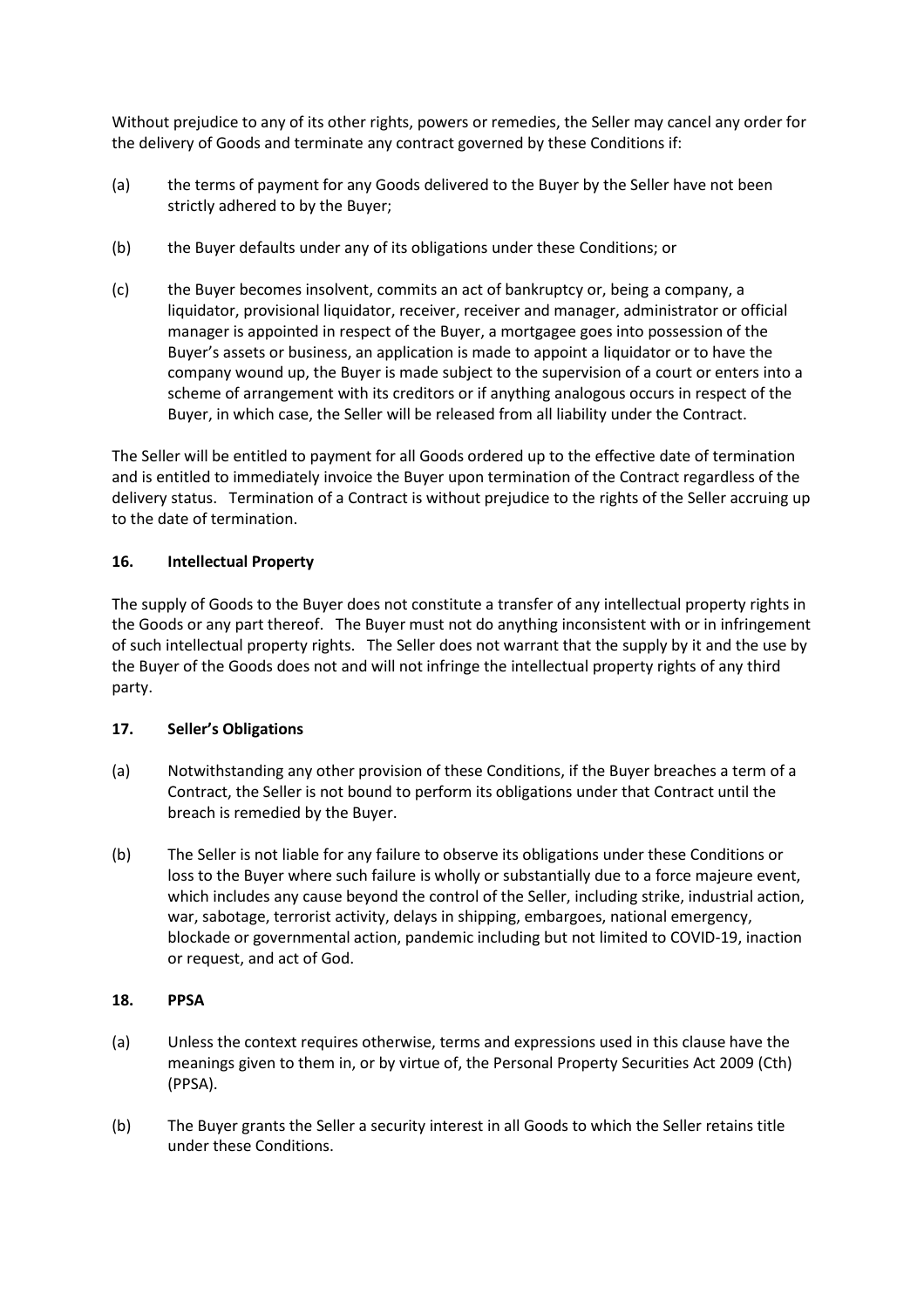Without prejudice to any of its other rights, powers or remedies, the Seller may cancel any order for the delivery of Goods and terminate any contract governed by these Conditions if:

- (a) the terms of payment for any Goods delivered to the Buyer by the Seller have not been strictly adhered to by the Buyer;
- (b) the Buyer defaults under any of its obligations under these Conditions; or
- (c) the Buyer becomes insolvent, commits an act of bankruptcy or, being a company, a liquidator, provisional liquidator, receiver, receiver and manager, administrator or official manager is appointed in respect of the Buyer, a mortgagee goes into possession of the Buyer's assets or business, an application is made to appoint a liquidator or to have the company wound up, the Buyer is made subject to the supervision of a court or enters into a scheme of arrangement with its creditors or if anything analogous occurs in respect of the Buyer, in which case, the Seller will be released from all liability under the Contract.

The Seller will be entitled to payment for all Goods ordered up to the effective date of termination and is entitled to immediately invoice the Buyer upon termination of the Contract regardless of the delivery status. Termination of a Contract is without prejudice to the rights of the Seller accruing up to the date of termination.

## **16. Intellectual Property**

The supply of Goods to the Buyer does not constitute a transfer of any intellectual property rights in the Goods or any part thereof. The Buyer must not do anything inconsistent with or in infringement of such intellectual property rights. The Seller does not warrant that the supply by it and the use by the Buyer of the Goods does not and will not infringe the intellectual property rights of any third party.

### **17. Seller's Obligations**

- (a) Notwithstanding any other provision of these Conditions, if the Buyer breaches a term of a Contract, the Seller is not bound to perform its obligations under that Contract until the breach is remedied by the Buyer.
- (b) The Seller is not liable for any failure to observe its obligations under these Conditions or loss to the Buyer where such failure is wholly or substantially due to a force majeure event, which includes any cause beyond the control of the Seller, including strike, industrial action, war, sabotage, terrorist activity, delays in shipping, embargoes, national emergency, blockade or governmental action, pandemic including but not limited to COVID-19, inaction or request, and act of God.

### **18. PPSA**

- (a) Unless the context requires otherwise, terms and expressions used in this clause have the meanings given to them in, or by virtue of, the Personal Property Securities Act 2009 (Cth) (PPSA).
- (b) The Buyer grants the Seller a security interest in all Goods to which the Seller retains title under these Conditions.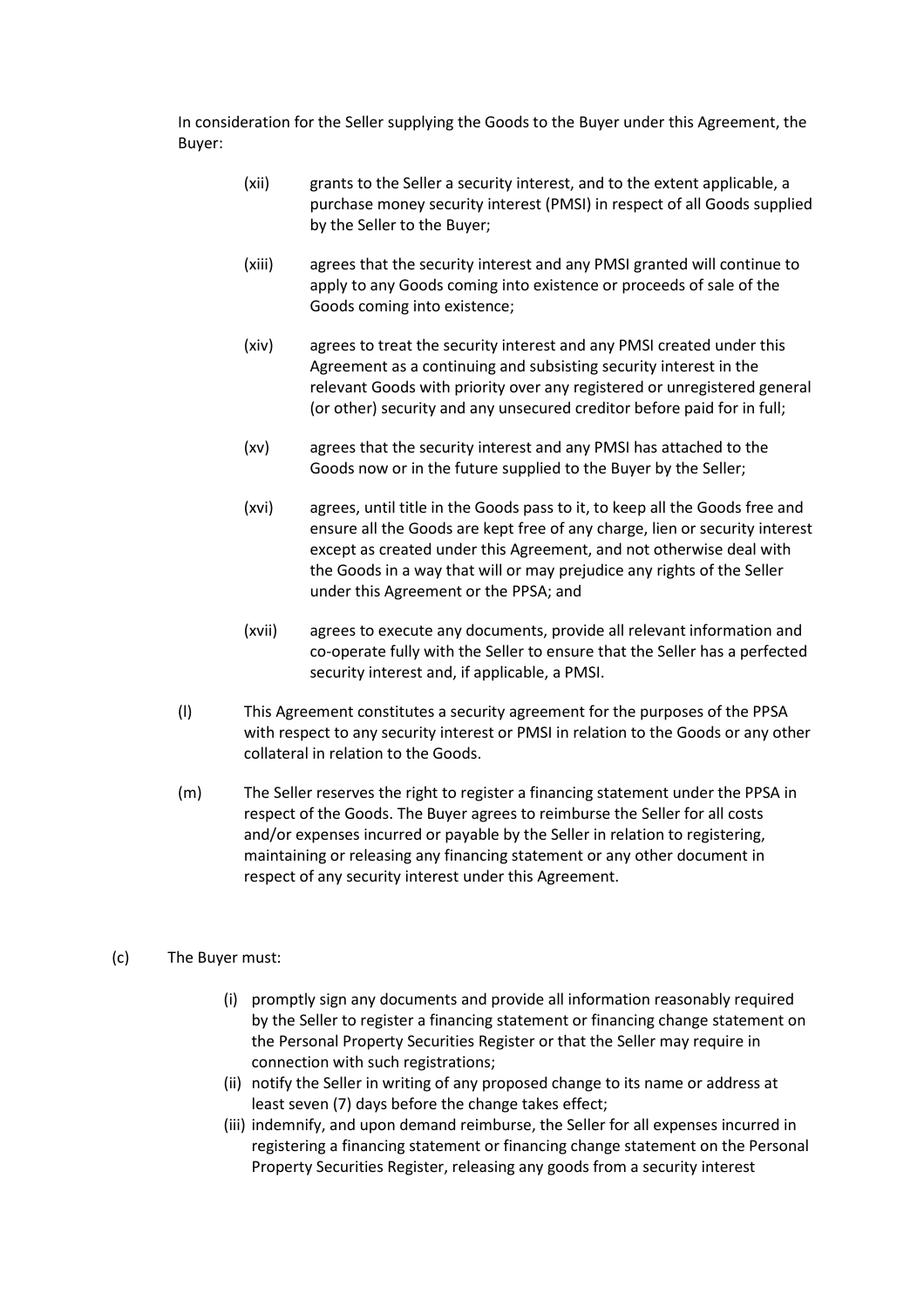In consideration for the Seller supplying the Goods to the Buyer under this Agreement, the Buyer:

- (xii) grants to the Seller a security interest, and to the extent applicable, a purchase money security interest (PMSI) in respect of all Goods supplied by the Seller to the Buyer;
- (xiii) agrees that the security interest and any PMSI granted will continue to apply to any Goods coming into existence or proceeds of sale of the Goods coming into existence;
- (xiv) agrees to treat the security interest and any PMSI created under this Agreement as a continuing and subsisting security interest in the relevant Goods with priority over any registered or unregistered general (or other) security and any unsecured creditor before paid for in full;
- (xv) agrees that the security interest and any PMSI has attached to the Goods now or in the future supplied to the Buyer by the Seller;
- (xvi) agrees, until title in the Goods pass to it, to keep all the Goods free and ensure all the Goods are kept free of any charge, lien or security interest except as created under this Agreement, and not otherwise deal with the Goods in a way that will or may prejudice any rights of the Seller under this Agreement or the PPSA; and
- (xvii) agrees to execute any documents, provide all relevant information and co-operate fully with the Seller to ensure that the Seller has a perfected security interest and, if applicable, a PMSI.
- (l) This Agreement constitutes a security agreement for the purposes of the PPSA with respect to any security interest or PMSI in relation to the Goods or any other collateral in relation to the Goods.
- (m) The Seller reserves the right to register a financing statement under the PPSA in respect of the Goods. The Buyer agrees to reimburse the Seller for all costs and/or expenses incurred or payable by the Seller in relation to registering, maintaining or releasing any financing statement or any other document in respect of any security interest under this Agreement.
- (c) The Buyer must:
	- (i) promptly sign any documents and provide all information reasonably required by the Seller to register a financing statement or financing change statement on the Personal Property Securities Register or that the Seller may require in connection with such registrations;
	- (ii) notify the Seller in writing of any proposed change to its name or address at least seven (7) days before the change takes effect;
	- (iii) indemnify, and upon demand reimburse, the Seller for all expenses incurred in registering a financing statement or financing change statement on the Personal Property Securities Register, releasing any goods from a security interest